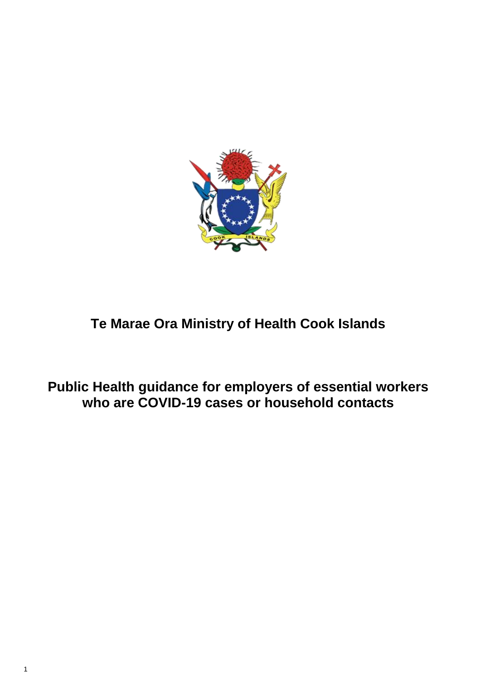1



## **Te Marae Ora Ministry of Health Cook Islands**

**Public Health guidance for employers of essential workers who are COVID-19 cases or household contacts**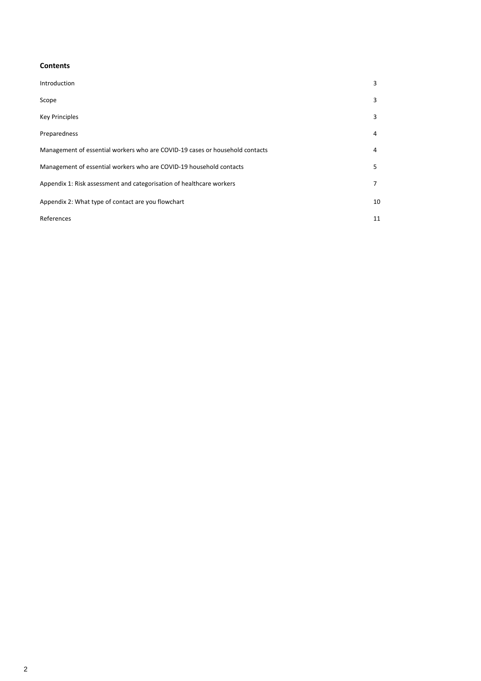### 2

#### **Contents**

| Introduction                                                                 | 3  |
|------------------------------------------------------------------------------|----|
| Scope                                                                        | 3  |
| <b>Key Principles</b>                                                        | 3  |
| Preparedness                                                                 | 4  |
| Management of essential workers who are COVID-19 cases or household contacts | 4  |
| Management of essential workers who are COVID-19 household contacts          | 5  |
| Appendix 1: Risk assessment and categorisation of healthcare workers         | 7  |
| Appendix 2: What type of contact are you flowchart                           | 10 |
| References                                                                   | 11 |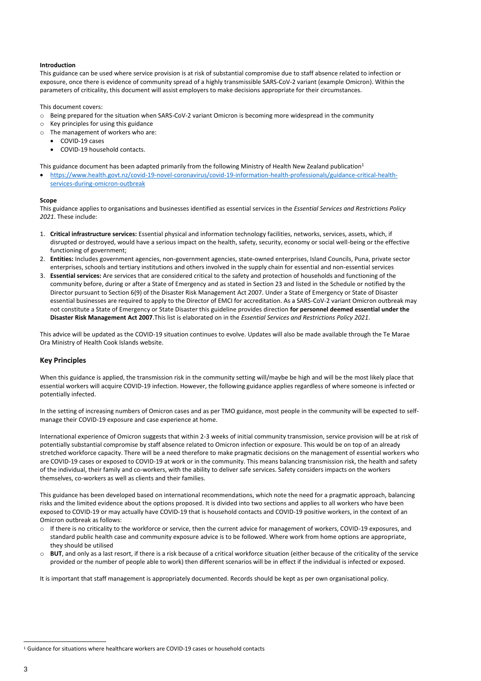$\overline{a}$ 

#### **Introduction**

This guidance can be used where service provision is at risk of substantial compromise due to staff absence related to infection or exposure, once there is evidence of community spread of a highly transmissible SARS-CoV-2 variant (example Omicron). Within the parameters of criticality, this document will assist employers to make decisions appropriate for their circumstances.

This document covers:

- o Being prepared for the situation when SARS-CoV-2 variant Omicron is becoming more widespread in the community
- $\circ$  Key principles for using this guidance
- o The management of workers who are:
	- COVID-19 cases
	- COVID-19 household contacts.

This guidance document has been adapted primarily from the following Ministry of Health New Zealand publication<sup>1</sup>

 [https://www.health.govt.nz/covid-19-novel-coronavirus/covid-19-information-health-professionals/guidance-critical-health](https://www.health.govt.nz/covid-19-novel-coronavirus/covid-19-information-health-professionals/guidance-critical-health-services-during-omicron-outbreak)[services-during-omicron-outbreak](https://www.health.govt.nz/covid-19-novel-coronavirus/covid-19-information-health-professionals/guidance-critical-health-services-during-omicron-outbreak)

#### **Scope**

This guidance applies to organisations and businesses identified as essential services in the *Essential Services and Restrictions Policy 2021*. These include:

- 1. **Critical infrastructure services:** Essential physical and information technology facilities, networks, services, assets, which, if disrupted or destroyed, would have a serious impact on the health, safety, security, economy or social well-being or the effective functioning of government;
- 2. **Entities:** Includes government agencies, non-government agencies, state-owned enterprises, Island Councils, Puna, private sector enterprises, schools and tertiary institutions and others involved in the supply chain for essential and non-essential services
- 3. **Essential services:** Are services that are considered critical to the safety and protection of households and functioning of the community before, during or after a State of Emergency and as stated in Section 23 and listed in the Schedule or notified by the Director pursuant to Section 6(9) of the Disaster Risk Management Act 2007. Under a State of Emergency or State of Disaster essential businesses are required to apply to the Director of EMCI for accreditation. As a SARS-CoV-2 variant Omicron outbreak may not constitute a State of Emergency or State Disaster this guideline provides direction **for personnel deemed essential under the Disaster Risk Management Act 2007**.This list is elaborated on in the *Essential Services and Restrictions Policy 2021*.

This advice will be updated as the COVID-19 situation continues to evolve. Updates will also be made available through the Te Marae Ora Ministry of Health Cook Islands website.

#### **Key Principles**

When this guidance is applied, the transmission risk in the community setting will/maybe be high and will be the most likely place that essential workers will acquire COVID-19 infection. However, the following guidance applies regardless of where someone is infected or potentially infected.

In the setting of increasing numbers of Omicron cases and as per TMO guidance, most people in the community will be expected to selfmanage their COVID-19 exposure and case experience at home.

International experience of Omicron suggests that within 2-3 weeks of initial community transmission, service provision will be at risk of potentially substantial compromise by staff absence related to Omicron infection or exposure. This would be on top of an already stretched workforce capacity. There will be a need therefore to make pragmatic decisions on the management of essential workers who are COVID-19 cases or exposed to COVID-19 at work or in the community. This means balancing transmission risk, the health and safety of the individual, their family and co-workers, with the ability to deliver safe services. Safety considers impacts on the workers themselves, co-workers as well as clients and their families.

This guidance has been developed based on international recommendations, which note the need for a pragmatic approach, balancing risks and the limited evidence about the options proposed. It is divided into two sections and applies to all workers who have been exposed to COVID-19 or may actually have COVID-19 that is household contacts and COVID-19 positive workers, in the context of an Omicron outbreak as follows:

- o If there is no criticality to the workforce or service, then the current advice for management of workers, COVID-19 exposures, and standard public health case and community exposure advice is to be followed. Where work from home options are appropriate, they should be utilised
- BUT, and only as a last resort, if there is a risk because of a critical workforce situation (either because of the criticality of the service provided or the number of people able to work) then different scenarios will be in effect if the individual is infected or exposed.

It is important that staff management is appropriately documented. Records should be kept as per own organisational policy.

<sup>1</sup> Guidance for situations where healthcare workers are COVID-19 cases or household contacts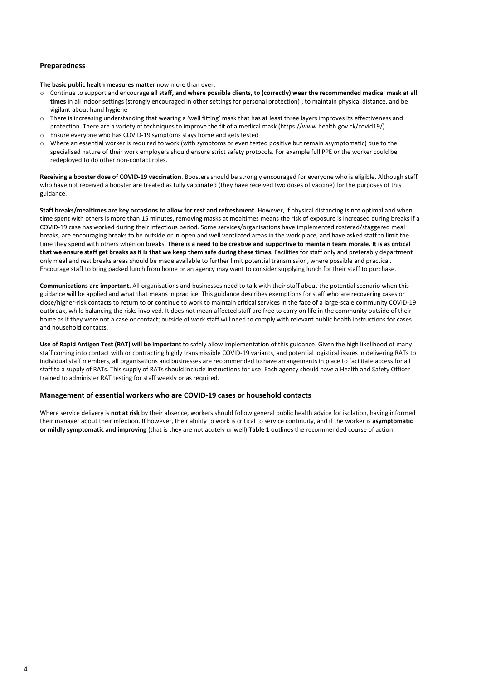4

#### **Preparedness**

**The basic public health measures matter** now more than ever.

- o Continue to support and encourage **all staff, and where possible clients, to (correctly) wear the recommended medical mask at all times** in all indoor settings (strongly encouraged in other settings for personal protection) , to maintain physical distance, and be vigilant about hand hygiene
- o There is increasing understanding that wearing a 'well fitting' mask that has at least three layers improves its effectiveness and protection. There are a variety of techniques to improve the fit of a medical mask (https://www.health.gov.ck/covid19/).
- o Ensure everyone who has COVID-19 symptoms stays home and gets tested
- o Where an essential worker is required to work (with symptoms or even tested positive but remain asymptomatic) due to the specialised nature of their work employers should ensure strict safety protocols. For example full PPE or the worker could be redeployed to do other non-contact roles.

**Receiving a booster dose of COVID-19 vaccination**. Boosters should be strongly encouraged for everyone who is eligible. Although staff who have not received a booster are treated as fully vaccinated (they have received two doses of vaccine) for the purposes of this guidance.

**Staff breaks/mealtimes are key occasions to allow for rest and refreshment.** However, if physical distancing is not optimal and when time spent with others is more than 15 minutes, removing masks at mealtimes means the risk of exposure is increased during breaks if a COVID-19 case has worked during their infectious period. Some services/organisations have implemented rostered/staggered meal breaks, are encouraging breaks to be outside or in open and well ventilated areas in the work place, and have asked staff to limit the time they spend with others when on breaks. **There is a need to be creative and supportive to maintain team morale. It is as critical that we ensure staff get breaks as it is that we keep them safe during these times.** Facilities for staff only and preferably department only meal and rest breaks areas should be made available to further limit potential transmission, where possible and practical. Encourage staff to bring packed lunch from home or an agency may want to consider supplying lunch for their staff to purchase.

**Communications are important.** All organisations and businesses need to talk with their staff about the potential scenario when this guidance will be applied and what that means in practice. This guidance describes exemptions for staff who are recovering cases or close/higher-risk contacts to return to or continue to work to maintain critical services in the face of a large-scale community COVID-19 outbreak, while balancing the risks involved. It does not mean affected staff are free to carry on life in the community outside of their home as if they were not a case or contact; outside of work staff will need to comply with relevant public health instructions for cases and household contacts.

**Use of Rapid Antigen Test (RAT) will be important** to safely allow implementation of this guidance. Given the high likelihood of many staff coming into contact with or contracting highly transmissible COVID-19 variants, and potential logistical issues in delivering RATs to individual staff members, all organisations and businesses are recommended to have arrangements in place to facilitate access for all staff to a supply of RATs. This supply of RATs should include instructions for use. Each agency should have a Health and Safety Officer trained to administer RAT testing for staff weekly or as required.

#### **Management of essential workers who are COVID-19 cases or household contacts**

Where service delivery is **not at risk** by their absence, workers should follow general public health advice for isolation, having informed their manager about their infection. If however, their ability to work is critical to service continuity, and if the worker is **asymptomatic or mildly symptomatic and improving** (that is they are not acutely unwell) **Table 1** outlines the recommended course of action.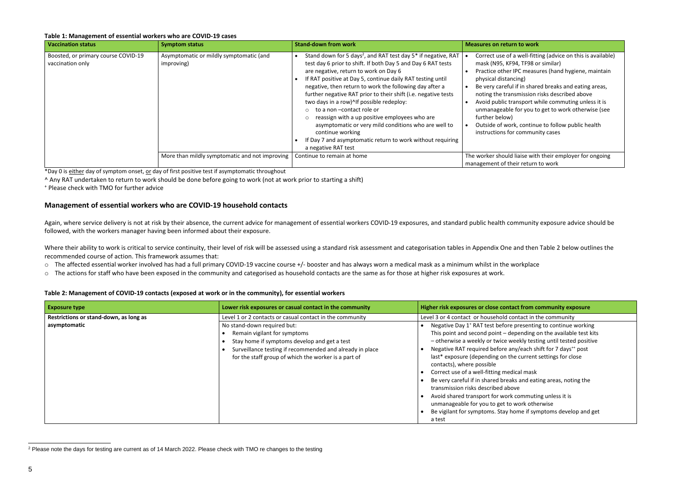- a well-fitting (advice on this is available) 94, TF98 or similar)
- IPC measures (hand hygiene, maintain icing)
- If in shared breaks and eating areas, nsmission risks described above
- ansport while commuting unless it is
- for you to get to work otherwise (see

k, continue to follow public health community cases

liaise with their employer for ongoing eir return to work

#### **Exposure risk community exposure**

ontact in the community

- presenting to continue working epending on the available test kits eekly testing until tested positive ny/each shift for 7 days<sup>++</sup> post
- lasted current settings for close
- dical mask
- ks and eating areas, noting the
- 
- acommuting unless it is
- work otherwise
- ome if symptoms develop and get

#### **Table 1: Management of essential workers who are COVID-19 cases**

| <b>Vaccination status</b>                               | <b>Symptom status</b>                                 | <b>Stand-down from work</b>                                                                                                                                                                                                                                                                                                                                                                                                                                                                                                                                                                                                                                                         | <b>Measures on return to work</b>                                                                                                                                                                                                                                                                    |
|---------------------------------------------------------|-------------------------------------------------------|-------------------------------------------------------------------------------------------------------------------------------------------------------------------------------------------------------------------------------------------------------------------------------------------------------------------------------------------------------------------------------------------------------------------------------------------------------------------------------------------------------------------------------------------------------------------------------------------------------------------------------------------------------------------------------------|------------------------------------------------------------------------------------------------------------------------------------------------------------------------------------------------------------------------------------------------------------------------------------------------------|
| Boosted, or primary course COVID-19<br>vaccination only | Asymptomatic or mildly symptomatic (and<br>improving) | Stand down for 5 days <sup>2</sup> , and RAT test day 5 <sup>*</sup> if negative, RAT<br>test day 6 prior to shift. If both Day 5 and Day 6 RAT tests<br>are negative, return to work on Day 6<br>If RAT positive at Day 5, continue daily RAT testing until<br>negative, then return to work the following day after a<br>further negative RAT prior to their shift (i.e. negative tests<br>two days in a row)^If possible redeploy:<br>to a non-contact role or<br>reassign with a up positive employees who are<br>asymptomatic or very mild conditions who are well to<br>continue working<br>If Day 7 and asymptomatic return to work without requiring<br>a negative RAT test | Correct use of a well-fitti<br>mask (N95, KF94, TF98 o<br>Practice other IPC measu<br>physical distancing)<br>Be very careful if in share<br>noting the transmission<br>Avoid public transport w<br>unmanageable for you to<br>further below)<br>Outside of work, continu<br>instructions for commun |
|                                                         | More than mildly symptomatic and not improving        | Continue to remain at home                                                                                                                                                                                                                                                                                                                                                                                                                                                                                                                                                                                                                                                          | The worker should liaise with<br>management of their return                                                                                                                                                                                                                                          |

Again, where service delivery is not at risk by their absence, the current advice for management of essential workers COVID-19 exposures, and standard public health community exposure advice should be followed, with the workers manager having been informed about their exposure.

Where their ability to work is critical to service continuity, their level of risk will be assessed using a standard risk assessment and categorisation tables in Appendix One and then Table 2 below outlines the recommended course of action. This framework assumes that:

| <b>Exposure type</b>                                   | Lower risk exposures or casual contact in the community                                                                                                                                                                                                                                     | <b>Higher risk exposures or close contact</b>                                                                                                                                                                                                                                                                                                                                                                                                                                                                             |
|--------------------------------------------------------|---------------------------------------------------------------------------------------------------------------------------------------------------------------------------------------------------------------------------------------------------------------------------------------------|---------------------------------------------------------------------------------------------------------------------------------------------------------------------------------------------------------------------------------------------------------------------------------------------------------------------------------------------------------------------------------------------------------------------------------------------------------------------------------------------------------------------------|
| Restrictions or stand-down, as long as<br>asymptomatic | Level 1 or 2 contacts or casual contact in the community<br>No stand-down required but:<br>Remain vigilant for symptoms<br>Stay home if symptoms develop and get a test<br>Surveillance testing if recommended and already in place<br>for the staff group of which the worker is a part of | Level 3 or 4 contact or household cont<br>Negative Day 1 <sup>+</sup> RAT test before pr<br>This point and second point - depe<br>- otherwise a weekly or twice wee<br>Negative RAT required before any/<br>last* exposure (depending on the<br>contacts), where possible<br>Correct use of a well-fitting medica<br>Be very careful if in shared breaks<br>transmission risks described above<br>Avoid shared transport for work co<br>unmanageable for you to get to wo<br>Be vigilant for symptoms. Stay hon<br>a test |

l <sup>2</sup> Please note the days for testing are current as of 14 March 2022. Please check with TMO re changes to the testing

\*Day 0 is either day of symptom onset, or day of first positive test if asymptomatic throughout

^ Any RAT undertaken to return to work should be done before going to work (not at work prior to starting a shift)

<sup>+</sup> Please check with TMO for further advice

#### **Management of essential workers who are COVID-19 household contacts**

- o The affected essential worker involved has had a full primary COVID-19 vaccine course +/- booster and has always worn a medical mask as a minimum whilst in the workplace
- o The actions for staff who have been exposed in the community and categorised as household contacts are the same as for those at higher risk exposures at work.

#### **Table 2: Management of COVID-19 contacts (exposed at work or in the community), for essential workers**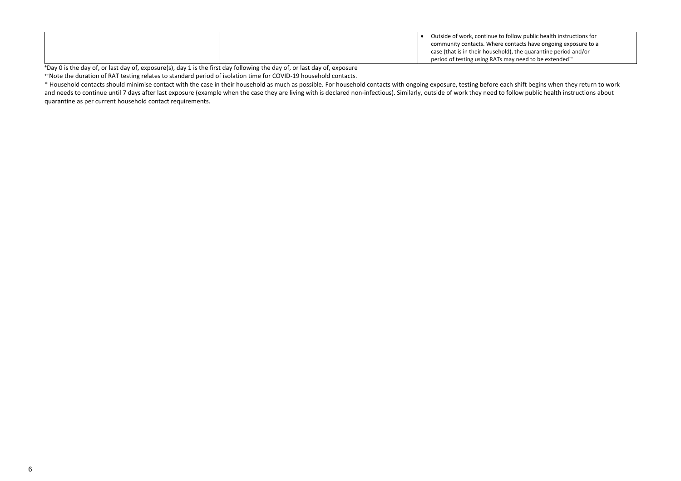#### ow public health instructions for tacts have ongoing exposure to a the quarantine period and/or  $\nu$  need to be extended $^{**}$

|  |  | Outside of work, continue to follo   |
|--|--|--------------------------------------|
|  |  | community contacts. Where cont       |
|  |  | case (that is in their household), t |
|  |  | period of testing using RATs may     |

<sup>+</sup>Day 0 is the day of, or last day of, exposure(s), day 1 is the first day following the day of, or last day of, exposure

++Note the duration of RAT testing relates to standard period of isolation time for COVID-19 household contacts.

\* Household contacts should minimise contact with the case in their household as much as possible. For household contacts with ongoing exposure, testing before each shift begins when they return to work and needs to continue until 7 days after last exposure (example when the case they are living with is declared non-infectious). Similarly, outside of work they need to follow public health instructions about quarantine as per current household contact requirements.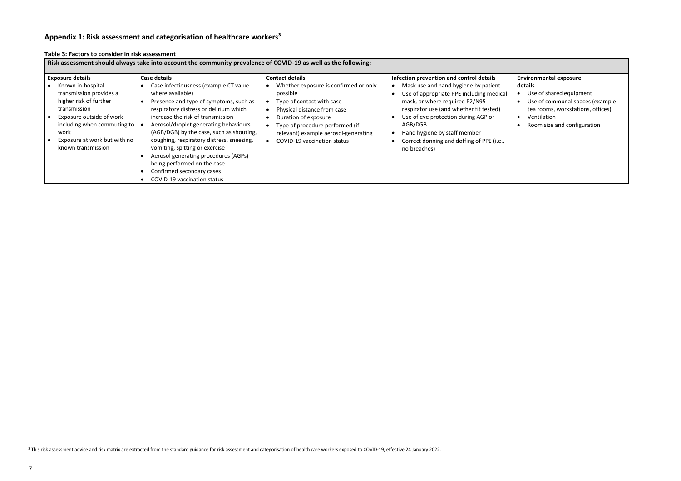l

#### **Appendix 1: Risk assessment and categorisation of healthcare workers<sup>3</sup>**

| Risk assessment should always take into account the community prevalence of COVID-19 as well as the following:                                                                                                                             |                                                                                                                                                                                                                                                                                                                                                                                                                                                                                                                  |                                                                                                                                                                                                                                                                                  |                                                                                                                                                                                                                                                                                                                                                          |
|--------------------------------------------------------------------------------------------------------------------------------------------------------------------------------------------------------------------------------------------|------------------------------------------------------------------------------------------------------------------------------------------------------------------------------------------------------------------------------------------------------------------------------------------------------------------------------------------------------------------------------------------------------------------------------------------------------------------------------------------------------------------|----------------------------------------------------------------------------------------------------------------------------------------------------------------------------------------------------------------------------------------------------------------------------------|----------------------------------------------------------------------------------------------------------------------------------------------------------------------------------------------------------------------------------------------------------------------------------------------------------------------------------------------------------|
| <b>Exposure details</b><br>Known in-hospital<br>transmission provides a<br>higher risk of further<br>transmission<br>Exposure outside of work<br>including when commuting to<br>work<br>Exposure at work but with no<br>known transmission | <b>Case details</b><br>Case infectiousness (example CT value<br>where available)<br>Presence and type of symptoms, such as<br>respiratory distress or delirium which<br>increase the risk of transmission<br>Aerosol/droplet generating behaviours<br>(AGB/DGB) by the case, such as shouting,<br>coughing, respiratory distress, sneezing,<br>vomiting, spitting or exercise<br>Aerosol generating procedures (AGPs)<br>being performed on the case<br>Confirmed secondary cases<br>COVID-19 vaccination status | <b>Contact details</b><br>Whether exposure is confirmed or only<br>possible<br>Type of contact with case<br>Physical distance from case<br>Duration of exposure<br>Type of procedure performed (if<br>relevant) example aerosol-generating<br><b>COVID-19 vaccination status</b> | Infection prevention and control details<br>Mask use and hand hygiene by patient<br>Use of appropriate PPE including medical<br>mask, or where required P2/N95<br>respirator use (and whether fit tested)<br>Use of eye protection during AGP or<br>AGB/DGB<br>Hand hygiene by staff member<br>Correct donning and doffing of PPE (i.e.,<br>no breaches) |

**Table 3: Factors to consider in risk assessment**

#### **Environmental exposure details**

- Use of shared equipment
- Use of communal spaces (example tea rooms, workstations, offices)
- Ventilation
- Room size and configuration

<sup>&</sup>lt;sup>3</sup> This risk assessment advice and risk matrix are extracted from the standard guidance for risk assessment and categorisation of health care workers exposed to COVID-19, effective 24 January 2022.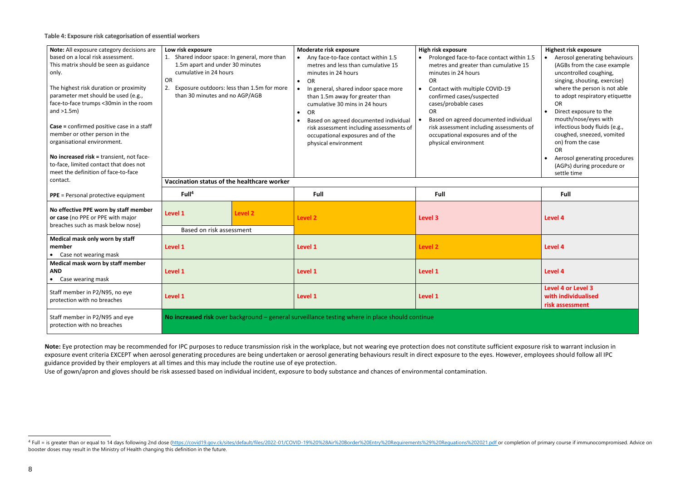l

| Note: All exposure category decisions are                                                                                                                                                                                                                                                                                                     | Low risk exposure                                                                                                                                                                                      | Moderate risk exposure                                                                                                                                                                                                                                                                                                                                                                          | High risk exposure                                                                                                                                                                                                                                                                                                                                                                        | <b>Highest risk exposure</b>                                                                                                                                                                                                                                                                                                                                    |
|-----------------------------------------------------------------------------------------------------------------------------------------------------------------------------------------------------------------------------------------------------------------------------------------------------------------------------------------------|--------------------------------------------------------------------------------------------------------------------------------------------------------------------------------------------------------|-------------------------------------------------------------------------------------------------------------------------------------------------------------------------------------------------------------------------------------------------------------------------------------------------------------------------------------------------------------------------------------------------|-------------------------------------------------------------------------------------------------------------------------------------------------------------------------------------------------------------------------------------------------------------------------------------------------------------------------------------------------------------------------------------------|-----------------------------------------------------------------------------------------------------------------------------------------------------------------------------------------------------------------------------------------------------------------------------------------------------------------------------------------------------------------|
| based on a local risk assessment.<br>This matrix should be seen as guidance<br>only.<br>The highest risk duration or proximity<br>parameter met should be used (e.g.,<br>face-to-face trumps <30min in the room<br>and $>1.5m$ )<br>Case = confirmed positive case in a staff<br>member or other person in the<br>organisational environment. | 1. Shared indoor space: In general, more than<br>1.5m apart and under 30 minutes<br>cumulative in 24 hours<br>OR<br>Exposure outdoors: less than 1.5m for more<br>2.<br>than 30 minutes and no AGP/AGB | Any face-to-face contact within 1.5<br>metres and less than cumulative 15<br>minutes in 24 hours<br>OR<br>In general, shared indoor space more<br>than 1.5m away for greater than<br>cumulative 30 mins in 24 hours<br><b>OR</b><br>$\bullet$<br>Based on agreed documented individual<br>risk assessment including assessments of<br>occupational exposures and of the<br>physical environment | Prolonged face-to-face contact within 1.5<br>metres and greater than cumulative 15<br>minutes in 24 hours<br><b>OR</b><br>Contact with multiple COVID-19<br>$\bullet$<br>confirmed cases/suspected<br>cases/probable cases<br><b>OR</b><br>Based on agreed documented individual<br>risk assessment including assessments of<br>occupational exposures and of the<br>physical environment | • Aerosol generating behaviours<br>(AGBs from the case example<br>uncontrolled coughing,<br>singing, shouting, exercise)<br>where the person is not able<br>to adopt respiratory etiquette<br>OR<br>Direct exposure to the<br>$\bullet$<br>mouth/nose/eyes with<br>infectious body fluids (e.g.,<br>coughed, sneezed, vomited<br>on) from the case<br><b>OR</b> |
| No increased risk = transient, not face-<br>to-face, limited contact that does not<br>meet the definition of face-to-face<br>contact.                                                                                                                                                                                                         |                                                                                                                                                                                                        |                                                                                                                                                                                                                                                                                                                                                                                                 |                                                                                                                                                                                                                                                                                                                                                                                           | Aerosol generating procedures<br>$\bullet$<br>(AGPs) during procedure or<br>settle time                                                                                                                                                                                                                                                                         |
|                                                                                                                                                                                                                                                                                                                                               | Vaccination status of the healthcare worker                                                                                                                                                            |                                                                                                                                                                                                                                                                                                                                                                                                 |                                                                                                                                                                                                                                                                                                                                                                                           |                                                                                                                                                                                                                                                                                                                                                                 |
| <b>PPE</b> = Personal protective equipment                                                                                                                                                                                                                                                                                                    | Full <sup>4</sup>                                                                                                                                                                                      | Full                                                                                                                                                                                                                                                                                                                                                                                            | Full                                                                                                                                                                                                                                                                                                                                                                                      | Full                                                                                                                                                                                                                                                                                                                                                            |
| No effective PPE worn by staff member<br>or case (no PPE or PPE with major<br>breaches such as mask below nose)                                                                                                                                                                                                                               | Level 1<br>Level 2<br>Based on risk assessment                                                                                                                                                         | <b>Level 2</b>                                                                                                                                                                                                                                                                                                                                                                                  | Level 3                                                                                                                                                                                                                                                                                                                                                                                   | Level 4                                                                                                                                                                                                                                                                                                                                                         |
| Medical mask only worn by staff<br>member<br>• Case not wearing mask                                                                                                                                                                                                                                                                          | Level 1                                                                                                                                                                                                | Level 1                                                                                                                                                                                                                                                                                                                                                                                         | <b>Level 2</b>                                                                                                                                                                                                                                                                                                                                                                            | Level 4                                                                                                                                                                                                                                                                                                                                                         |
| Medical mask worn by staff member<br><b>AND</b><br>Case wearing mask<br>$\bullet$                                                                                                                                                                                                                                                             | Level 1                                                                                                                                                                                                | Level 1                                                                                                                                                                                                                                                                                                                                                                                         | Level 1                                                                                                                                                                                                                                                                                                                                                                                   | Level 4                                                                                                                                                                                                                                                                                                                                                         |
| Staff member in P2/N95, no eye<br>protection with no breaches                                                                                                                                                                                                                                                                                 | Level 1                                                                                                                                                                                                | Level 1                                                                                                                                                                                                                                                                                                                                                                                         | Level 1                                                                                                                                                                                                                                                                                                                                                                                   | Level 4 or Level 3<br>with individualised<br>risk assessment                                                                                                                                                                                                                                                                                                    |
| Staff member in P2/N95 and eye<br>protection with no breaches                                                                                                                                                                                                                                                                                 | No increased risk over background $-$ general surveillance testing where in place should continue                                                                                                      |                                                                                                                                                                                                                                                                                                                                                                                                 |                                                                                                                                                                                                                                                                                                                                                                                           |                                                                                                                                                                                                                                                                                                                                                                 |

Note: Eye protection may be recommended for IPC purposes to reduce transmission risk in the workplace, but not wearing eye protection does not constitute sufficient exposure risk to warrant inclusion in exposure event criteria EXCEPT when aerosol generating procedures are being undertaken or aerosol generating behaviours result in direct exposure to the eyes. However, employees should follow all IPC guidance provided by their employers at all times and this may include the routine use of eye protection.

Use of gown/apron and gloves should be risk assessed based on individual incident, exposure to body substance and chances of environmental contamination.

<sup>&</sup>lt;sup>4</sup> Full = is greater than or equal to 14 days following 2nd dose [\(https://covid19.gov.ck/sites/default/files/2022-01/COVID-19%20%28Air%20Border%20Entry%20Requirements%29%20Reguations%202021.pdf](https://covid19.gov.ck/sites/default/files/2022-01/COVID-19%20%28Air%20Border%20Entry%20Requirements%29%20Reguations%202021.pdf) or completion of primary co booster doses may result in the Ministry of Health changing this definition in the future.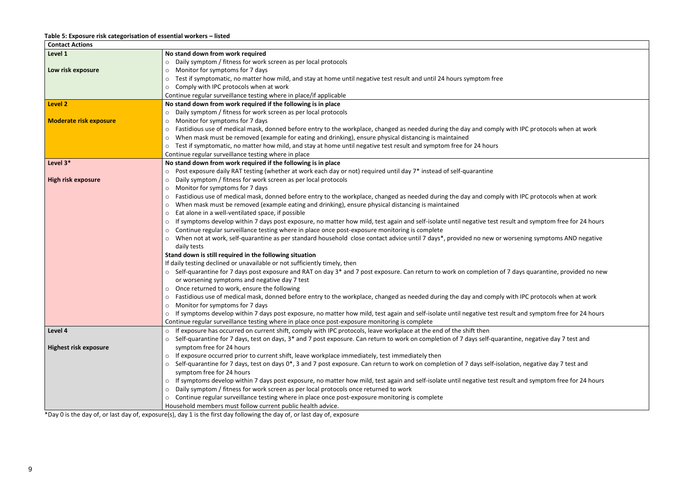ith IPC protocols when at work ith IPC protocols when at work It and symptom free for 24 hours rsening symptoms AND negative days quarantine, provided no new ith IPC protocols when at work It and symptom free for 24 hours tine, negative day 7 test and ion, negative day 7 test and It and symptom free for 24 hours

#### **Table 5: Exposure risk categorisation of essential workers – listed**

| <b>Contact Actions</b>        |                                                                                                                                       |
|-------------------------------|---------------------------------------------------------------------------------------------------------------------------------------|
| Level 1                       | No stand down from work required                                                                                                      |
|                               | Daily symptom / fitness for work screen as per local protocols<br>$\circ$                                                             |
| Low risk exposure             | Monitor for symptoms for 7 days<br>O                                                                                                  |
|                               | Test if symptomatic, no matter how mild, and stay at home until negative test result and until 24 hours symptom free<br>$\circ$       |
|                               | Comply with IPC protocols when at work<br>$\circ$                                                                                     |
|                               | Continue regular surveillance testing where in place/if applicable                                                                    |
| <b>Level 2</b>                | No stand down from work required if the following is in place                                                                         |
|                               | Daily symptom / fitness for work screen as per local protocols<br>$\circ$                                                             |
| <b>Moderate risk exposure</b> | Monitor for symptoms for 7 days<br>O                                                                                                  |
|                               | Fastidious use of medical mask, donned before entry to the workplace, changed as needed during the day and comply wit<br>O            |
|                               | When mask must be removed (example for eating and drinking), ensure physical distancing is maintained<br>$\circ$                      |
|                               | Test if symptomatic, no matter how mild, and stay at home until negative test result and symptom free for 24 hours<br>$\circ$         |
|                               | Continue regular surveillance testing where in place                                                                                  |
| Level 3*                      | No stand down from work required if the following is in place                                                                         |
|                               | Post exposure daily RAT testing (whether at work each day or not) required until day 7* instead of self-quarantine<br>$\circ$         |
| <b>High risk exposure</b>     | Daily symptom / fitness for work screen as per local protocols<br>$\circ$                                                             |
|                               | Monitor for symptoms for 7 days<br>$\circ$                                                                                            |
|                               | Fastidious use of medical mask, donned before entry to the workplace, changed as needed during the day and comply wit<br>$\circ$      |
|                               | When mask must be removed (example eating and drinking), ensure physical distancing is maintained<br>$\circ$                          |
|                               | Eat alone in a well-ventilated space, if possible<br>O                                                                                |
|                               | If symptoms develop within 7 days post exposure, no matter how mild, test again and self-isolate until negative test resul<br>O       |
|                               | Continue regular surveillance testing where in place once post-exposure monitoring is complete                                        |
|                               | When not at work, self-quarantine as per standard household close contact advice until 7 days*, provided no new or wor<br>O           |
|                               | daily tests                                                                                                                           |
|                               | Stand down is still required in the following situation                                                                               |
|                               | If daily testing declined or unavailable or not sufficiently timely, then                                                             |
|                               | Self-quarantine for 7 days post exposure and RAT on day 3* and 7 post exposure. Can return to work on completion of 7 or              |
|                               | or worsening symptoms and negative day 7 test                                                                                         |
|                               | o Once returned to work, ensure the following                                                                                         |
|                               | Fastidious use of medical mask, donned before entry to the workplace, changed as needed during the day and comply wit<br>$\circ$      |
|                               | Monitor for symptoms for 7 days                                                                                                       |
|                               | If symptoms develop within 7 days post exposure, no matter how mild, test again and self-isolate until negative test resul<br>$\circ$ |
|                               | Continue regular surveillance testing where in place once post-exposure monitoring is complete                                        |
| Level 4                       | If exposure has occurred on current shift, comply with IPC protocols, leave workplace at the end of the shift then<br>$\circ$         |
|                               | Self-quarantine for 7 days, test on days, 3* and 7 post exposure. Can return to work on completion of 7 days self-quarant<br>$\circ$  |
| <b>Highest risk exposure</b>  | symptom free for 24 hours                                                                                                             |
|                               | If exposure occurred prior to current shift, leave workplace immediately, test immediately then<br>$\circ$                            |
|                               | Self-quarantine for 7 days, test on days 0*, 3 and 7 post exposure. Can return to work on completion of 7 days self-isolation         |
|                               | symptom free for 24 hours                                                                                                             |
|                               | If symptoms develop within 7 days post exposure, no matter how mild, test again and self-isolate until negative test resul<br>O       |
|                               | Daily symptom / fitness for work screen as per local protocols once returned to work                                                  |
|                               | Continue regular surveillance testing where in place once post-exposure monitoring is complete                                        |
|                               | $\circ$                                                                                                                               |
|                               | Household members must follow current public health advice.                                                                           |

\*Day 0 is the day of, or last day of, exposure(s), day 1 is the first day following the day of, or last day of, exposure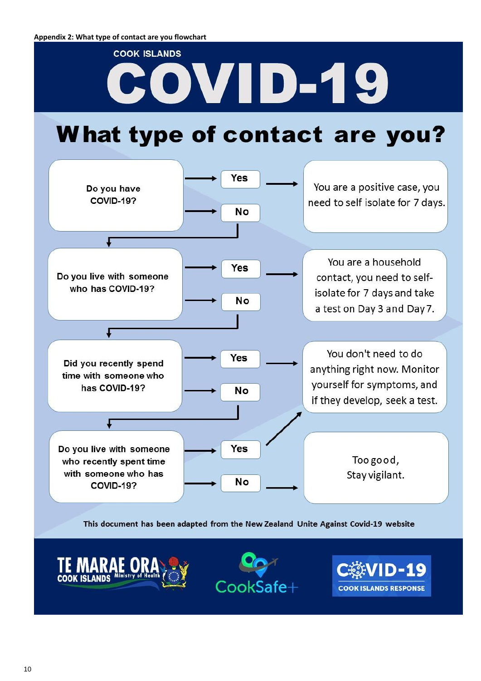# **COOK ISLANDS** COVID-19

## What type of contact are you?



#### This document has been adapted from the New Zealand Unite Against Covid-19 website